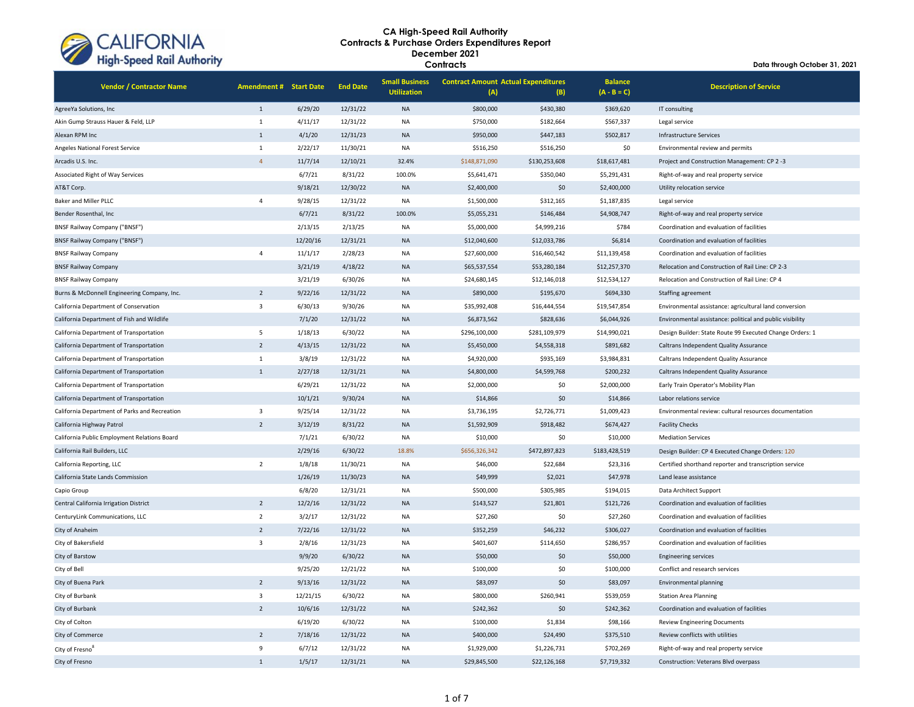

| <b>Vendor / Contractor Name</b>               | <b>Amendment # Start Date</b> |          | <b>End Date</b> | <b>Small Business</b><br><b>Utilization</b> | <b>Contract Amount Actual Expenditures</b><br>(A) | (B)           | <b>Balance</b><br>$(A - B = C)$ | <b>Description of Service</b>                             |
|-----------------------------------------------|-------------------------------|----------|-----------------|---------------------------------------------|---------------------------------------------------|---------------|---------------------------------|-----------------------------------------------------------|
| AgreeYa Solutions, Inc                        | $1\,$                         | 6/29/20  | 12/31/22        | <b>NA</b>                                   | \$800,000                                         | \$430,380     | \$369,620                       | IT consulting                                             |
| Akin Gump Strauss Hauer & Feld, LLP           | $\mathbf 1$                   | 4/11/17  | 12/31/22        | <b>NA</b>                                   | \$750,000                                         | \$182,664     | \$567,337                       | Legal service                                             |
| Alexan RPM Inc                                | $\mathbf{1}$                  | 4/1/20   | 12/31/23        | <b>NA</b>                                   | \$950,000                                         | \$447,183     | \$502,817                       | Infrastructure Services                                   |
| Angeles National Forest Service               | $\mathbf 1$                   | 2/22/17  | 11/30/21        | <b>NA</b>                                   | \$516,250                                         | \$516,250     | \$0                             | Environmental review and permits                          |
| Arcadis U.S. Inc.                             | $\overline{4}$                | 11/7/14  | 12/10/21        | 32.4%                                       | \$148,871,090                                     | \$130,253,608 | \$18,617,481                    | Project and Construction Management: CP 2-3               |
| Associated Right of Way Services              |                               | 6/7/21   | 8/31/22         | 100.0%                                      | \$5,641,471                                       | \$350,040     | \$5,291,431                     | Right-of-way and real property service                    |
| AT&T Corp.                                    |                               | 9/18/21  | 12/30/22        | <b>NA</b>                                   | \$2,400,000                                       | \$0           | \$2,400,000                     | Utility relocation service                                |
| Baker and Miller PLLC                         | $\overline{4}$                | 9/28/15  | 12/31/22        | NA                                          | \$1,500,000                                       | \$312,165     | \$1,187,835                     | Legal service                                             |
| Bender Rosenthal, Inc.                        |                               | 6/7/21   | 8/31/22         | 100.0%                                      | \$5,055,231                                       | \$146,484     | \$4,908,747                     | Right-of-way and real property service                    |
| <b>BNSF Railway Company ("BNSF")</b>          |                               | 2/13/15  | 2/13/25         | <b>NA</b>                                   | \$5,000,000                                       | \$4,999,216   | \$784                           | Coordination and evaluation of facilities                 |
| <b>BNSF Railway Company ("BNSF")</b>          |                               | 12/20/16 | 12/31/21        | <b>NA</b>                                   | \$12,040,600                                      | \$12,033,786  | \$6,814                         | Coordination and evaluation of facilities                 |
| <b>BNSF Railway Company</b>                   | $\overline{4}$                | 11/1/17  | 2/28/23         | <b>NA</b>                                   | \$27,600,000                                      | \$16,460,542  | \$11,139,458                    | Coordination and evaluation of facilities                 |
| <b>BNSF Railway Company</b>                   |                               | 3/21/19  | 4/18/22         | <b>NA</b>                                   | \$65,537,554                                      | \$53,280,184  | \$12,257,370                    | Relocation and Construction of Rail Line: CP 2-3          |
| <b>BNSF Railway Company</b>                   |                               | 3/21/19  | 6/30/26         | NA                                          | \$24,680,145                                      | \$12,146,018  | \$12,534,127                    | Relocation and Construction of Rail Line: CP 4            |
| Burns & McDonnell Engineering Company, Inc.   | $\overline{2}$                | 9/22/16  | 12/31/22        | <b>NA</b>                                   | \$890,000                                         | \$195,670     | \$694,330                       | Staffing agreement                                        |
| California Department of Conservation         | $\overline{\mathbf{3}}$       | 6/30/13  | 9/30/26         | <b>NA</b>                                   | \$35,992,408                                      | \$16,444,554  | \$19,547,854                    | Environmental assistance: agricultural land conversion    |
| California Department of Fish and Wildlife    |                               | 7/1/20   | 12/31/22        | <b>NA</b>                                   | \$6,873,562                                       | \$828,636     | \$6,044,926                     | Environmental assistance: political and public visibility |
| California Department of Transportation       | 5                             | 1/18/13  | 6/30/22         | <b>NA</b>                                   | \$296,100,000                                     | \$281,109,979 | \$14,990,021                    | Design Builder: State Route 99 Executed Change Orders: 1  |
| California Department of Transportation       | $\overline{2}$                | 4/13/15  | 12/31/22        | <b>NA</b>                                   | \$5,450,000                                       | \$4,558,318   | \$891,682                       | Caltrans Independent Quality Assurance                    |
| California Department of Transportation       | $\mathbf 1$                   | 3/8/19   | 12/31/22        | <b>NA</b>                                   | \$4,920,000                                       | \$935,169     | \$3,984,831                     | Caltrans Independent Quality Assurance                    |
| California Department of Transportation       | $\mathbf{1}$                  | 2/27/18  | 12/31/21        | <b>NA</b>                                   | \$4,800,000                                       | \$4,599,768   | \$200,232                       | Caltrans Independent Quality Assurance                    |
| California Department of Transportation       |                               | 6/29/21  | 12/31/22        | NA                                          | \$2,000,000                                       | \$0           | \$2,000,000                     | Early Train Operator's Mobility Plan                      |
| California Department of Transportation       |                               | 10/1/21  | 9/30/24         | <b>NA</b>                                   | \$14,866                                          | \$0           | \$14,866                        | Labor relations service                                   |
| California Department of Parks and Recreation | $\overline{\mathbf{3}}$       | 9/25/14  | 12/31/22        | NA                                          | \$3,736,195                                       | \$2,726,771   | \$1,009,423                     | Environmental review: cultural resources documentation    |
| California Highway Patrol                     | $\overline{2}$                | 3/12/19  | 8/31/22         | <b>NA</b>                                   | \$1,592,909                                       | \$918,482     | \$674,427                       | <b>Facility Checks</b>                                    |
| California Public Employment Relations Board  |                               | 7/1/21   | 6/30/22         | <b>NA</b>                                   | \$10,000                                          | \$0           | \$10,000                        | <b>Mediation Services</b>                                 |
| California Rail Builders, LLC                 |                               | 2/29/16  | 6/30/22         | 18.8%                                       | \$656,326,342                                     | \$472,897,823 | \$183,428,519                   | Design Builder: CP 4 Executed Change Orders: 120          |
| California Reporting, LLC                     | $\overline{2}$                | 1/8/18   | 11/30/21        | NA                                          | \$46,000                                          | \$22,684      | \$23,316                        | Certified shorthand reporter and transcription service    |
| California State Lands Commission             |                               | 1/26/19  | 11/30/23        | <b>NA</b>                                   | \$49,999                                          | \$2,021       | \$47,978                        | Land lease assistance                                     |
| Capio Group                                   |                               | 6/8/20   | 12/31/21        | NA                                          | \$500,000                                         | \$305,985     | \$194,015                       | Data Architect Support                                    |
| Central California Irrigation District        | $\overline{2}$                | 12/2/16  | 12/31/22        | <b>NA</b>                                   | \$143,527                                         | \$21,801      | \$121,726                       | Coordination and evaluation of facilities                 |
| CenturyLink Communications, LLC               | $\overline{2}$                | 3/2/17   | 12/31/22        | <b>NA</b>                                   | \$27,260                                          | \$0           | \$27,260                        | Coordination and evaluation of facilities                 |
| City of Anaheim                               | $\overline{2}$                | 7/22/16  | 12/31/22        | <b>NA</b>                                   | \$352,259                                         | \$46,232      | \$306,027                       | Coordination and evaluation of facilities                 |
| City of Bakersfield                           | $\overline{\mathbf{3}}$       | 2/8/16   | 12/31/23        | <b>NA</b>                                   | \$401,607                                         | \$114,650     | \$286,957                       | Coordination and evaluation of facilities                 |
| City of Barstow                               |                               | 9/9/20   | 6/30/22         | <b>NA</b>                                   | \$50,000                                          | \$0           | \$50,000                        | <b>Engineering services</b>                               |
| City of Bell                                  |                               | 9/25/20  | 12/21/22        | NA                                          | \$100,000                                         | \$0           | \$100,000                       | Conflict and research services                            |
| City of Buena Park                            | $\overline{2}$                | 9/13/16  | 12/31/22        | <b>NA</b>                                   | \$83,097                                          | \$0           | \$83,097                        | Environmental planning                                    |
| City of Burbank                               | $\overline{\mathbf{3}}$       | 12/21/15 | 6/30/22         | NA                                          | \$800,000                                         | \$260,941     | \$539,059                       | <b>Station Area Planning</b>                              |
| City of Burbank                               | $\overline{2}$                | 10/6/16  | 12/31/22        | <b>NA</b>                                   | \$242,362                                         | \$0           | \$242,362                       | Coordination and evaluation of facilities                 |
| City of Colton                                |                               | 6/19/20  | 6/30/22         | <b>NA</b>                                   | \$100,000                                         | \$1,834       | \$98,166                        | <b>Review Engineering Documents</b>                       |
| City of Commerce                              | $\overline{2}$                | 7/18/16  | 12/31/22        | <b>NA</b>                                   | \$400,000                                         | \$24,490      | \$375,510                       | Review conflicts with utilities                           |
| City of Fresno <sup>8</sup>                   | 9                             | 6/7/12   | 12/31/22        | <b>NA</b>                                   | \$1,929,000                                       | \$1,226,731   | \$702,269                       | Right-of-way and real property service                    |
| City of Fresno                                | $\mathbf{1}$                  | 1/5/17   | 12/31/21        | <b>NA</b>                                   | \$29,845,500                                      | \$22,126,168  | \$7,719,332                     | Construction: Veterans Blvd overpass                      |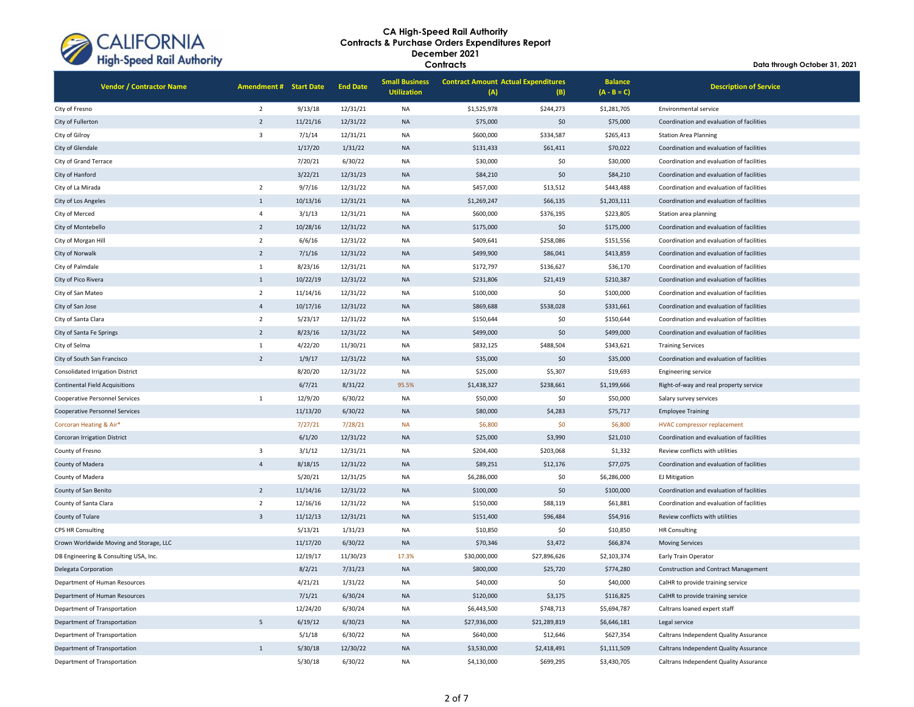

| <b>Vendor / Contractor Name</b>         | <b>Amendment # Start Date</b> |          | <b>End Date</b> | <b>Small Business</b><br><b>Utilization</b> | <b>Contract Amount Actual Expenditures</b><br>(A) | (B)          | <b>Balance</b><br>$(A - B = C)$ | <b>Description of Service</b>               |
|-----------------------------------------|-------------------------------|----------|-----------------|---------------------------------------------|---------------------------------------------------|--------------|---------------------------------|---------------------------------------------|
| City of Fresno                          | $\overline{2}$                | 9/13/18  | 12/31/21        | NA                                          | \$1,525,978                                       | \$244,273    | \$1,281,705                     | Environmental service                       |
| City of Fullerton                       | $\overline{2}$                | 11/21/16 | 12/31/22        | <b>NA</b>                                   | \$75,000                                          | \$0          | \$75,000                        | Coordination and evaluation of facilities   |
| City of Gilroy                          | $\overline{\mathbf{3}}$       | 7/1/14   | 12/31/21        | <b>NA</b>                                   | \$600,000                                         | \$334,587    | \$265,413                       | <b>Station Area Planning</b>                |
| City of Glendale                        |                               | 1/17/20  | 1/31/22         | <b>NA</b>                                   | \$131,433                                         | \$61,411     | \$70,022                        | Coordination and evaluation of facilities   |
| City of Grand Terrace                   |                               | 7/20/21  | 6/30/22         | <b>NA</b>                                   | \$30,000                                          | \$0          | \$30,000                        | Coordination and evaluation of facilities   |
| City of Hanford                         |                               | 3/22/21  | 12/31/23        | <b>NA</b>                                   | \$84,210                                          | \$0          | \$84,210                        | Coordination and evaluation of facilities   |
| City of La Mirada                       | $\overline{2}$                | 9/7/16   | 12/31/22        | <b>NA</b>                                   | \$457,000                                         | \$13,512     | \$443,488                       | Coordination and evaluation of facilities   |
| City of Los Angeles                     | $\mathbf{1}$                  | 10/13/16 | 12/31/21        | <b>NA</b>                                   | \$1,269,247                                       | \$66,135     | \$1,203,111                     | Coordination and evaluation of facilities   |
| City of Merced                          | $\overline{4}$                | 3/1/13   | 12/31/21        | <b>NA</b>                                   | \$600,000                                         | \$376,195    | \$223,805                       | Station area planning                       |
| City of Montebello                      | $\overline{2}$                | 10/28/16 | 12/31/22        | <b>NA</b>                                   | \$175,000                                         | \$0          | \$175,000                       | Coordination and evaluation of facilities   |
| City of Morgan Hill                     | $\overline{2}$                | 6/6/16   | 12/31/22        | <b>NA</b>                                   | \$409,641                                         | \$258,086    | \$151,556                       | Coordination and evaluation of facilities   |
| City of Norwalk                         | $\overline{2}$                | 7/1/16   | 12/31/22        | <b>NA</b>                                   | \$499,900                                         | \$86,041     | \$413,859                       | Coordination and evaluation of facilities   |
| City of Palmdale                        | $\mathbf 1$                   | 8/23/16  | 12/31/21        | <b>NA</b>                                   | \$172,797                                         | \$136,627    | \$36,170                        | Coordination and evaluation of facilities   |
| City of Pico Rivera                     | $\mathbf{1}$                  | 10/22/19 | 12/31/22        | <b>NA</b>                                   | \$231,806                                         | \$21,419     | \$210,387                       | Coordination and evaluation of facilities   |
| City of San Mateo                       | $\overline{2}$                | 11/14/16 | 12/31/22        | <b>NA</b>                                   | \$100,000                                         | \$0          | \$100,000                       | Coordination and evaluation of facilities   |
| City of San Jose                        | $\overline{4}$                | 10/17/16 | 12/31/22        | <b>NA</b>                                   | \$869,688                                         | \$538,028    | \$331,661                       | Coordination and evaluation of facilities   |
| City of Santa Clara                     | $\overline{2}$                | 5/23/17  | 12/31/22        | <b>NA</b>                                   | \$150,644                                         | \$0          | \$150,644                       | Coordination and evaluation of facilities   |
| City of Santa Fe Springs                | $\overline{2}$                | 8/23/16  | 12/31/22        | <b>NA</b>                                   | \$499,000                                         | \$0          | \$499,000                       | Coordination and evaluation of facilities   |
| City of Selma                           | $\mathbf 1$                   | 4/22/20  | 11/30/21        | NA                                          | \$832,125                                         | \$488,504    | \$343,621                       | <b>Training Services</b>                    |
| City of South San Francisco             | $\overline{2}$                | 1/9/17   | 12/31/22        | <b>NA</b>                                   | \$35,000                                          | \$0          | \$35,000                        | Coordination and evaluation of facilities   |
| <b>Consolidated Irrigation District</b> |                               | 8/20/20  | 12/31/22        | <b>NA</b>                                   | \$25,000                                          | \$5,307      | \$19,693                        | <b>Engineering service</b>                  |
| <b>Continental Field Acquisitions</b>   |                               | 6/7/21   | 8/31/22         | 95.5%                                       | \$1,438,327                                       | \$238,661    | \$1,199,666                     | Right-of-way and real property service      |
| <b>Cooperative Personnel Services</b>   | $\mathbf 1$                   | 12/9/20  | 6/30/22         | <b>NA</b>                                   | \$50,000                                          | \$0          | \$50,000                        | Salary survey services                      |
| <b>Cooperative Personnel Services</b>   |                               | 11/13/20 | 6/30/22         | <b>NA</b>                                   | \$80,000                                          | \$4,283      | \$75,717                        | <b>Employee Training</b>                    |
| Corcoran Heating & Air*                 |                               | 7/27/21  | 7/28/21         | <b>NA</b>                                   | \$6,800                                           | \$0          | \$6,800                         | <b>HVAC compressor replacement</b>          |
| Corcoran Irrigation District            |                               | 6/1/20   | 12/31/22        | <b>NA</b>                                   | \$25,000                                          | \$3,990      | \$21,010                        | Coordination and evaluation of facilities   |
| County of Fresno                        | $\overline{3}$                | 3/1/12   | 12/31/21        | NA                                          | \$204,400                                         | \$203,068    | \$1,332                         | Review conflicts with utilities             |
| County of Madera                        | $\overline{4}$                | 8/18/15  | 12/31/22        | <b>NA</b>                                   | \$89,251                                          | \$12,176     | \$77,075                        | Coordination and evaluation of facilities   |
| County of Madera                        |                               | 5/20/21  | 12/31/25        | <b>NA</b>                                   | \$6,286,000                                       | \$0          | \$6,286,000                     | <b>EJ Mitigation</b>                        |
| County of San Benito                    | $\overline{2}$                | 11/14/16 | 12/31/22        | <b>NA</b>                                   | \$100,000                                         | \$0          | \$100,000                       | Coordination and evaluation of facilities   |
| County of Santa Clara                   | $\overline{2}$                | 12/16/16 | 12/31/22        | <b>NA</b>                                   | \$150,000                                         | \$88,119     | \$61,881                        | Coordination and evaluation of facilities   |
| County of Tulare                        | $\overline{3}$                | 11/12/13 | 12/31/21        | <b>NA</b>                                   | \$151,400                                         | \$96,484     | \$54,916                        | Review conflicts with utilities             |
| <b>CPS HR Consulting</b>                |                               | 5/13/21  | 1/31/23         | NA                                          | \$10,850                                          | \$0          | \$10,850                        | <b>HR Consulting</b>                        |
| Crown Worldwide Moving and Storage, LLC |                               | 11/17/20 | 6/30/22         | <b>NA</b>                                   | \$70,346                                          | \$3,472      | \$66,874                        | <b>Moving Services</b>                      |
| DB Engineering & Consulting USA, Inc.   |                               | 12/19/17 | 11/30/23        | 17.3%                                       | \$30,000,000                                      | \$27,896,626 | \$2,103,374                     | Early Train Operator                        |
| Delegata Corporation                    |                               | 8/2/21   | 7/31/23         | <b>NA</b>                                   | \$800,000                                         | \$25,720     | \$774,280                       | <b>Construction and Contract Management</b> |
| Department of Human Resources           |                               | 4/21/21  | 1/31/22         | <b>NA</b>                                   | \$40,000                                          | \$0          | \$40,000                        | CalHR to provide training service           |
| Department of Human Resources           |                               | 7/1/21   | 6/30/24         | <b>NA</b>                                   | \$120,000                                         | \$3,175      | \$116,825                       | CalHR to provide training service           |
| Department of Transportation            |                               | 12/24/20 | 6/30/24         | <b>NA</b>                                   | \$6,443,500                                       | \$748,713    | \$5,694,787                     | Caltrans loaned expert staff                |
| Department of Transportation            | 5                             | 6/19/12  | 6/30/23         | <b>NA</b>                                   | \$27,936,000                                      | \$21,289,819 | \$6,646,181                     | Legal service                               |
| Department of Transportation            |                               | 5/1/18   | 6/30/22         | <b>NA</b>                                   | \$640,000                                         | \$12,646     | \$627,354                       | Caltrans Independent Quality Assurance      |
| Department of Transportation            | $\mathbf{1}$                  | 5/30/18  | 12/30/22        | <b>NA</b>                                   | \$3,530,000                                       | \$2,418,491  | \$1,111,509                     | Caltrans Independent Quality Assurance      |
| Department of Transportation            |                               | 5/30/18  | 6/30/22         | <b>NA</b>                                   | \$4,130,000                                       | \$699,295    | \$3,430,705                     | Caltrans Independent Quality Assurance      |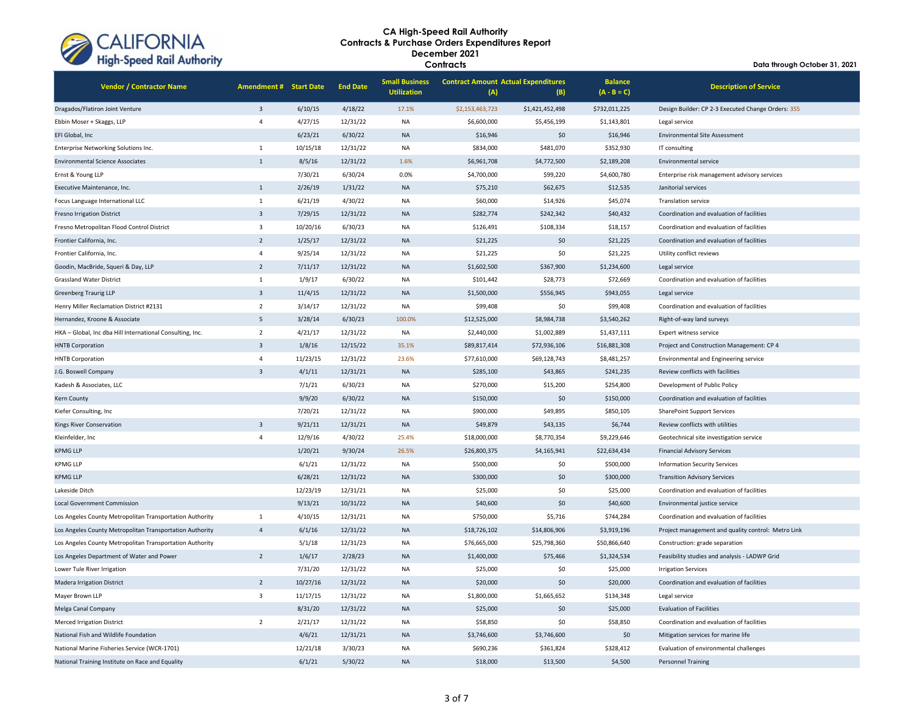

| <b>Vendor / Contractor Name</b>                           | <b>Amendment # Start Date</b> |          | <b>End Date</b> | <b>Small Business</b><br><b>Utilization</b> | <b>Contract Amount Actual Expenditures</b><br>(A) | (B)             | <b>Balance</b><br>$(A - B = C)$ | <b>Description of Service</b>                      |
|-----------------------------------------------------------|-------------------------------|----------|-----------------|---------------------------------------------|---------------------------------------------------|-----------------|---------------------------------|----------------------------------------------------|
| Dragados/Flatiron Joint Venture                           | $\overline{\mathbf{3}}$       | 6/10/15  | 4/18/22         | 17.1%                                       | \$2,153,463,723                                   | \$1,421,452,498 | \$732,011,225                   | Design Builder: CP 2-3 Executed Change Orders: 355 |
| Ebbin Moser + Skaggs, LLP                                 | $\overline{4}$                | 4/27/15  | 12/31/22        | <b>NA</b>                                   | \$6,600,000                                       | \$5,456,199     | \$1,143,801                     | Legal service                                      |
| EFI Global, Inc                                           |                               | 6/23/21  | 6/30/22         | <b>NA</b>                                   | \$16,946                                          | \$0             | \$16,946                        | <b>Environmental Site Assessment</b>               |
| Enterprise Networking Solutions Inc.                      | $\mathbf{1}$                  | 10/15/18 | 12/31/22        | <b>NA</b>                                   | \$834,000                                         | \$481,070       | \$352,930                       | IT consulting                                      |
| <b>Environmental Science Associates</b>                   | $\mathbf{1}$                  | 8/5/16   | 12/31/22        | 1.6%                                        | \$6,961,708                                       | \$4,772,500     | \$2,189,208                     | Environmental service                              |
| Ernst & Young LLP                                         |                               | 7/30/21  | 6/30/24         | 0.0%                                        | \$4,700,000                                       | \$99,220        | \$4,600,780                     | Enterprise risk management advisory services       |
| Executive Maintenance, Inc.                               | $\mathbf{1}$                  | 2/26/19  | 1/31/22         | <b>NA</b>                                   | \$75,210                                          | \$62,675        | \$12,535                        | Janitorial services                                |
| Focus Language International LLC                          | $1\,$                         | 6/21/19  | 4/30/22         | <b>NA</b>                                   | \$60,000                                          | \$14,926        | \$45,074                        | <b>Translation service</b>                         |
| <b>Fresno Irrigation District</b>                         | $\overline{3}$                | 7/29/15  | 12/31/22        | <b>NA</b>                                   | \$282,774                                         | \$242,342       | \$40,432                        | Coordination and evaluation of facilities          |
| Fresno Metropolitan Flood Control District                | $\overline{3}$                | 10/20/16 | 6/30/23         | <b>NA</b>                                   | \$126,491                                         | \$108,334       | \$18,157                        | Coordination and evaluation of facilities          |
| Frontier California, Inc.                                 | $\overline{2}$                | 1/25/17  | 12/31/22        | <b>NA</b>                                   | \$21,225                                          | \$0             | \$21,225                        | Coordination and evaluation of facilities          |
| Frontier California, Inc.                                 | $\overline{4}$                | 9/25/14  | 12/31/22        | <b>NA</b>                                   | \$21,225                                          | \$0             | \$21,225                        | Utility conflict reviews                           |
| Goodin, MacBride, Squeri & Day, LLP                       | $\overline{2}$                | 7/11/17  | 12/31/22        | <b>NA</b>                                   | \$1,602,500                                       | \$367,900       | \$1,234,600                     | Legal service                                      |
| <b>Grassland Water District</b>                           | $1\,$                         | 1/9/17   | 6/30/22         | <b>NA</b>                                   | \$101,442                                         | \$28,773        | \$72,669                        | Coordination and evaluation of facilities          |
| <b>Greenberg Traurig LLP</b>                              | $\overline{3}$                | 11/4/15  | 12/31/22        | <b>NA</b>                                   | \$1,500,000                                       | \$556,945       | \$943,055                       | Legal service                                      |
| Henry Miller Reclamation District #2131                   | $\overline{2}$                | 3/14/17  | 12/31/22        | <b>NA</b>                                   | \$99,408                                          | \$0             | \$99,408                        | Coordination and evaluation of facilities          |
| Hernandez, Kroone & Associate                             | 5                             | 3/28/14  | 6/30/23         | 100.0%                                      | \$12,525,000                                      | \$8,984,738     | \$3,540,262                     | Right-of-way land surveys                          |
| HKA - Global, Inc dba Hill International Consulting, Inc. | $\overline{2}$                | 4/21/17  | 12/31/22        | <b>NA</b>                                   | \$2,440,000                                       | \$1,002,889     | \$1,437,111                     | Expert witness service                             |
| <b>HNTB Corporation</b>                                   | $\overline{3}$                | 1/8/16   | 12/15/22        | 35.1%                                       | \$89,817,414                                      | \$72,936,106    | \$16,881,308                    | Project and Construction Management: CP 4          |
| <b>HNTB Corporation</b>                                   | $\overline{4}$                | 11/23/15 | 12/31/22        | 23.6%                                       | \$77,610,000                                      | \$69,128,743    | \$8,481,257                     | Environmental and Engineering service              |
| J.G. Boswell Company                                      | $\overline{3}$                | 4/1/11   | 12/31/21        | <b>NA</b>                                   | \$285,100                                         | \$43,865        | \$241,235                       | Review conflicts with facilities                   |
| Kadesh & Associates, LLC                                  |                               | 7/1/21   | 6/30/23         | <b>NA</b>                                   | \$270,000                                         | \$15,200        | \$254,800                       | Development of Public Policy                       |
| Kern County                                               |                               | 9/9/20   | 6/30/22         | <b>NA</b>                                   | \$150,000                                         | \$0             | \$150,000                       | Coordination and evaluation of facilities          |
| Kiefer Consulting, Inc                                    |                               | 7/20/21  | 12/31/22        | <b>NA</b>                                   | \$900,000                                         | \$49,895        | \$850,105                       | <b>SharePoint Support Services</b>                 |
| Kings River Conservation                                  | $\overline{3}$                | 9/21/11  | 12/31/21        | <b>NA</b>                                   | \$49,879                                          | \$43,135        | \$6,744                         | Review conflicts with utilities                    |
| Kleinfelder, Inc                                          | $\overline{4}$                | 12/9/16  | 4/30/22         | 25.4%                                       | \$18,000,000                                      | \$8,770,354     | \$9,229,646                     | Geotechnical site investigation service            |
| <b>KPMG LLP</b>                                           |                               | 1/20/21  | 9/30/24         | 26.5%                                       | \$26,800,375                                      | \$4,165,941     | \$22,634,434                    | <b>Financial Advisory Services</b>                 |
| <b>KPMG LLP</b>                                           |                               | 6/1/21   | 12/31/22        | <b>NA</b>                                   | \$500,000                                         | \$0             | \$500,000                       | <b>Information Security Services</b>               |
| <b>KPMG LLP</b>                                           |                               | 6/28/21  | 12/31/22        | <b>NA</b>                                   | \$300,000                                         | \$0             | \$300,000                       | <b>Transition Advisory Services</b>                |
| Lakeside Ditch                                            |                               | 12/23/19 | 12/31/21        | <b>NA</b>                                   | \$25,000                                          | \$0             | \$25,000                        | Coordination and evaluation of facilities          |
| <b>Local Government Commission</b>                        |                               | 9/13/21  | 10/31/22        | <b>NA</b>                                   | \$40,600                                          | \$0             | \$40,600                        | Environmental justice service                      |
| Los Angeles County Metropolitan Transportation Authority  | $1\,$                         | 4/10/15  | 12/31/21        | <b>NA</b>                                   | \$750,000                                         | \$5,716         | \$744,284                       | Coordination and evaluation of facilities          |
| Los Angeles County Metropolitan Transportation Authority  | $\overline{4}$                | 6/1/16   | 12/31/22        | <b>NA</b>                                   | \$18,726,102                                      | \$14,806,906    | \$3,919,196                     | Project management and quality control: Metro Link |
| Los Angeles County Metropolitan Transportation Authority  |                               | 5/1/18   | 12/31/23        | <b>NA</b>                                   | \$76,665,000                                      | \$25,798,360    | \$50,866,640                    | Construction: grade separation                     |
| Los Angeles Department of Water and Power                 | $\overline{2}$                | 1/6/17   | 2/28/23         | <b>NA</b>                                   | \$1,400,000                                       | \$75,466        | \$1,324,534                     | Feasibility studies and analysis - LADWP Grid      |
| Lower Tule River Irrigation                               |                               | 7/31/20  | 12/31/22        | <b>NA</b>                                   | \$25,000                                          | \$0             | \$25,000                        | <b>Irrigation Services</b>                         |
| <b>Madera Irrigation District</b>                         | $\overline{2}$                | 10/27/16 | 12/31/22        | <b>NA</b>                                   | \$20,000                                          | \$0             | \$20,000                        | Coordination and evaluation of facilities          |
| Mayer Brown LLP                                           | $\overline{\mathbf{3}}$       | 11/17/15 | 12/31/22        | <b>NA</b>                                   | \$1,800,000                                       | \$1,665,652     | \$134,348                       | Legal service                                      |
| Melga Canal Company                                       |                               | 8/31/20  | 12/31/22        | <b>NA</b>                                   | \$25,000                                          | \$0             | \$25,000                        | <b>Evaluation of Facilities</b>                    |
| <b>Merced Irrigation District</b>                         | $\overline{2}$                | 2/21/17  | 12/31/22        | <b>NA</b>                                   | \$58,850                                          | \$0             | \$58,850                        | Coordination and evaluation of facilities          |
| National Fish and Wildlife Foundation                     |                               | 4/6/21   | 12/31/21        | <b>NA</b>                                   | \$3,746,600                                       | \$3,746,600     | \$0                             | Mitigation services for marine life                |
| National Marine Fisheries Service (WCR-1701)              |                               | 12/21/18 | 3/30/23         | <b>NA</b>                                   | \$690,236                                         | \$361,824       | \$328,412                       | Evaluation of environmental challenges             |
| National Training Institute on Race and Equality          |                               | 6/1/21   | 5/30/22         | <b>NA</b>                                   | \$18,000                                          | \$13,500        | \$4,500                         | <b>Personnel Training</b>                          |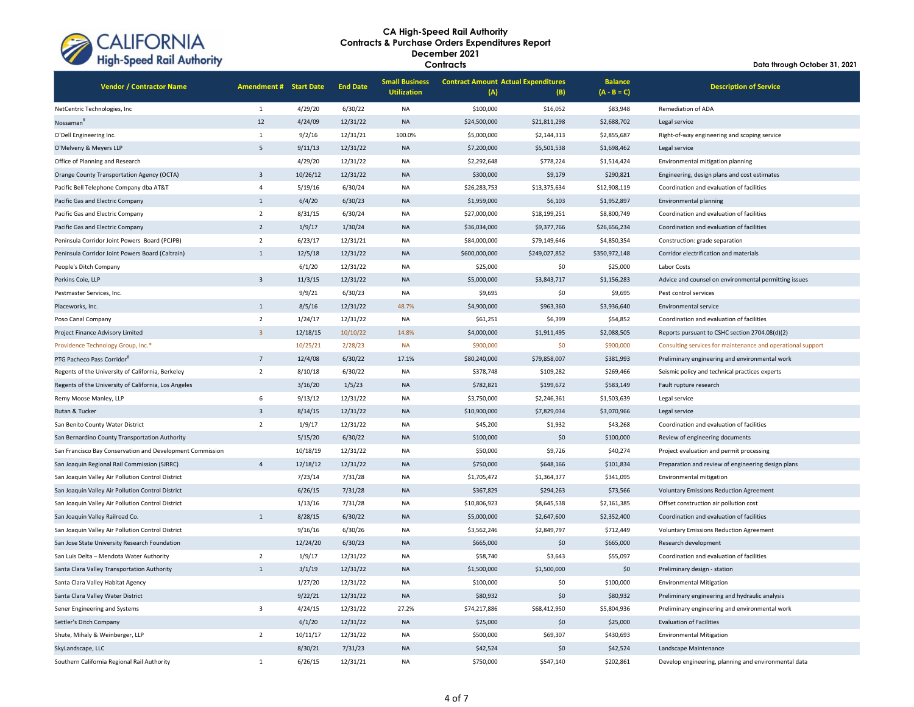

| <b>Vendor / Contractor Name</b>                           | <b>Amendment # Start Date</b> |          | <b>End Date</b> | <b>Small Business</b><br><b>Utilization</b> | (A)           | <b>Contract Amount Actual Expenditures</b><br>(B) |               | <b>Description of Service</b>                               |
|-----------------------------------------------------------|-------------------------------|----------|-----------------|---------------------------------------------|---------------|---------------------------------------------------|---------------|-------------------------------------------------------------|
| NetCentric Technologies, Inc                              | 1                             | 4/29/20  | 6/30/22         | <b>NA</b>                                   | \$100,000     | \$16,052                                          | \$83,948      | <b>Remediation of ADA</b>                                   |
| Nossaman                                                  | 12                            | 4/24/09  | 12/31/22        | <b>NA</b>                                   | \$24,500,000  | \$21,811,298                                      | \$2,688,702   | Legal service                                               |
| O'Dell Engineering Inc.                                   | $\mathbf 1$                   | 9/2/16   | 12/31/21        | 100.0%                                      | \$5,000,000   | \$2,144,313                                       | \$2,855,687   | Right-of-way engineering and scoping service                |
| O'Melveny & Meyers LLP                                    | 5                             | 9/11/13  | 12/31/22        | <b>NA</b>                                   | \$7,200,000   | \$5,501,538                                       | \$1,698,462   | Legal service                                               |
| Office of Planning and Research                           |                               | 4/29/20  | 12/31/22        | <b>NA</b>                                   | \$2,292,648   | \$778,224                                         | \$1,514,424   | Environmental mitigation planning                           |
| Orange County Transportation Agency (OCTA)                | $\overline{3}$                | 10/26/12 | 12/31/22        | <b>NA</b>                                   | \$300,000     | \$9,179                                           | \$290,821     | Engineering, design plans and cost estimates                |
| Pacific Bell Telephone Company dba AT&T                   | $\overline{4}$                | 5/19/16  | 6/30/24         | <b>NA</b>                                   | \$26,283,753  | \$13,375,634                                      | \$12,908,119  | Coordination and evaluation of facilities                   |
| Pacific Gas and Electric Company                          | $\mathbf{1}$                  | 6/4/20   | 6/30/23         | <b>NA</b>                                   | \$1,959,000   | \$6,103                                           | \$1,952,897   | Environmental planning                                      |
| Pacific Gas and Electric Company                          | $\overline{2}$                | 8/31/15  | 6/30/24         | NA                                          | \$27,000,000  | \$18,199,251                                      | \$8,800,749   | Coordination and evaluation of facilities                   |
| Pacific Gas and Electric Company                          | $\overline{2}$                | 1/9/17   | 1/30/24         | <b>NA</b>                                   | \$36,034,000  | \$9,377,766                                       | \$26,656,234  | Coordination and evaluation of facilities                   |
| Peninsula Corridor Joint Powers Board (PCJPB)             | $\overline{2}$                | 6/23/17  | 12/31/21        | NA                                          | \$84,000,000  | \$79,149,646                                      | \$4,850,354   | Construction: grade separation                              |
| Peninsula Corridor Joint Powers Board (Caltrain)          | $\mathbf{1}$                  | 12/5/18  | 12/31/22        | <b>NA</b>                                   | \$600,000,000 | \$249,027,852                                     | \$350,972,148 | Corridor electrification and materials                      |
| People's Ditch Company                                    |                               | 6/1/20   | 12/31/22        | <b>NA</b>                                   | \$25,000      | \$0                                               | \$25,000      | Labor Costs                                                 |
| Perkins Coie, LLP                                         | $\overline{\mathbf{3}}$       | 11/3/15  | 12/31/22        | <b>NA</b>                                   | \$5,000,000   | \$3,843,717                                       | \$1,156,283   | Advice and counsel on environmental permitting issues       |
| Pestmaster Services, Inc.                                 |                               | 9/9/21   | 6/30/23         | <b>NA</b>                                   | \$9,695       | \$0                                               | \$9,695       | Pest control services                                       |
| Placeworks, Inc.                                          | $\mathbf{1}$                  | 8/5/16   | 12/31/22        | 48.7%                                       | \$4,900,000   | \$963,360                                         | \$3,936,640   | Environmental service                                       |
| Poso Canal Company                                        | $\overline{2}$                | 1/24/17  | 12/31/22        | NA                                          | \$61,251      | \$6,399                                           | \$54,852      | Coordination and evaluation of facilities                   |
| Project Finance Advisory Limited                          | $\overline{3}$                | 12/18/15 | 10/10/22        | 14.8%                                       | \$4,000,000   | \$1,911,495                                       | \$2,088,505   | Reports pursuant to CSHC section 2704.08(d)(2)              |
| Providence Technology Group, Inc.*                        |                               | 10/25/21 | 2/28/23         | <b>NA</b>                                   | \$900,000     | \$0                                               | \$900,000     | Consulting services for maintenance and operational support |
| PTG Pacheco Pass Corridor <sup>8</sup>                    | $\overline{7}$                | 12/4/08  | 6/30/22         | 17.1%                                       | \$80,240,000  | \$79,858,007                                      | \$381,993     | Preliminary engineering and environmental work              |
| Regents of the University of California, Berkeley         | $\overline{2}$                | 8/10/18  | 6/30/22         | <b>NA</b>                                   | \$378,748     | \$109,282                                         | \$269,466     | Seismic policy and technical practices experts              |
| Regents of the University of California, Los Angeles      |                               | 3/16/20  | 1/5/23          | <b>NA</b>                                   | \$782,821     | \$199,672                                         | \$583,149     | Fault rupture research                                      |
| Remy Moose Manley, LLP                                    | 6                             | 9/13/12  | 12/31/22        | <b>NA</b>                                   | \$3,750,000   | \$2,246,361                                       | \$1,503,639   | Legal service                                               |
| Rutan & Tucker                                            | $\overline{3}$                | 8/14/15  | 12/31/22        | <b>NA</b>                                   | \$10,900,000  | \$7,829,034                                       | \$3,070,966   | Legal service                                               |
| San Benito County Water District                          | $\overline{2}$                | 1/9/17   | 12/31/22        | NA                                          | \$45,200      | \$1,932                                           | \$43,268      | Coordination and evaluation of facilities                   |
| San Bernardino County Transportation Authority            |                               | 5/15/20  | 6/30/22         | <b>NA</b>                                   | \$100,000     | \$0                                               | \$100,000     | Review of engineering documents                             |
| San Francisco Bay Conservation and Development Commission |                               | 10/18/19 | 12/31/22        | <b>NA</b>                                   | \$50,000      | \$9,726                                           | \$40,274      | Project evaluation and permit processing                    |
| San Joaquin Regional Rail Commission (SJRRC)              | $\overline{4}$                | 12/18/12 | 12/31/22        | <b>NA</b>                                   | \$750,000     | \$648,166                                         | \$101,834     | Preparation and review of engineering design plans          |
| San Joaquin Valley Air Pollution Control District         |                               | 7/23/14  | 7/31/28         | <b>NA</b>                                   | \$1,705,472   | \$1,364,377                                       | \$341,095     | Environmental mitigation                                    |
| San Joaquin Valley Air Pollution Control District         |                               | 6/26/15  | 7/31/28         | <b>NA</b>                                   | \$367,829     | \$294,263                                         | \$73,566      | <b>Voluntary Emissions Reduction Agreement</b>              |
| San Joaquin Valley Air Pollution Control District         |                               | 1/13/16  | 7/31/28         | NA                                          | \$10,806,923  | \$8,645,538                                       | \$2,161,385   | Offset construction air pollution cost                      |
| San Joaquin Valley Railroad Co.                           | $\overline{1}$                | 8/28/15  | 6/30/22         | <b>NA</b>                                   | \$5,000,000   | \$2,647,600                                       | \$2,352,400   | Coordination and evaluation of facilities                   |
| San Joaquin Valley Air Pollution Control District         |                               | 9/16/16  | 6/30/26         | NA                                          | \$3,562,246   | \$2,849,797                                       | \$712,449     | <b>Voluntary Emissions Reduction Agreement</b>              |
| San Jose State University Research Foundation             |                               | 12/24/20 | 6/30/23         | <b>NA</b>                                   | \$665,000     | \$0                                               | \$665,000     | Research development                                        |
| San Luis Delta - Mendota Water Authority                  | $\overline{2}$                | 1/9/17   | 12/31/22        | NA                                          | \$58,740      | \$3,643                                           | \$55,097      | Coordination and evaluation of facilities                   |
| Santa Clara Valley Transportation Authority               | $\mathbf{1}$                  | 3/1/19   | 12/31/22        | <b>NA</b>                                   | \$1,500,000   | \$1,500,000                                       | \$0           | Preliminary design - station                                |
| Santa Clara Valley Habitat Agency                         |                               | 1/27/20  | 12/31/22        | <b>NA</b>                                   | \$100,000     | \$0                                               | \$100,000     | <b>Environmental Mitigation</b>                             |
| Santa Clara Valley Water District                         |                               | 9/22/21  | 12/31/22        | <b>NA</b>                                   | \$80,932      | \$0                                               | \$80,932      | Preliminary engineering and hydraulic analysis              |
| Sener Engineering and Systems                             | $\overline{\mathbf{3}}$       | 4/24/15  | 12/31/22        | 27.2%                                       | \$74,217,886  | \$68,412,950                                      | \$5,804,936   | Preliminary engineering and environmental work              |
| Settler's Ditch Company                                   |                               | 6/1/20   | 12/31/22        | <b>NA</b>                                   | \$25,000      | \$0                                               | \$25,000      | <b>Evaluation of Facilities</b>                             |
| Shute, Mihaly & Weinberger, LLP                           | $\overline{2}$                | 10/11/17 | 12/31/22        | <b>NA</b>                                   | \$500,000     | \$69,307                                          | \$430,693     | <b>Environmental Mitigation</b>                             |
| SkyLandscape, LLC                                         |                               | 8/30/21  | 7/31/23         | <b>NA</b>                                   | \$42,524      | \$0                                               | \$42,524      | Landscape Maintenance                                       |
| Southern California Regional Rail Authority               | $\mathbf{1}$                  | 6/26/15  | 12/31/21        | <b>NA</b>                                   | \$750,000     | \$547,140                                         | \$202,861     | Develop engineering, planning and environmental data        |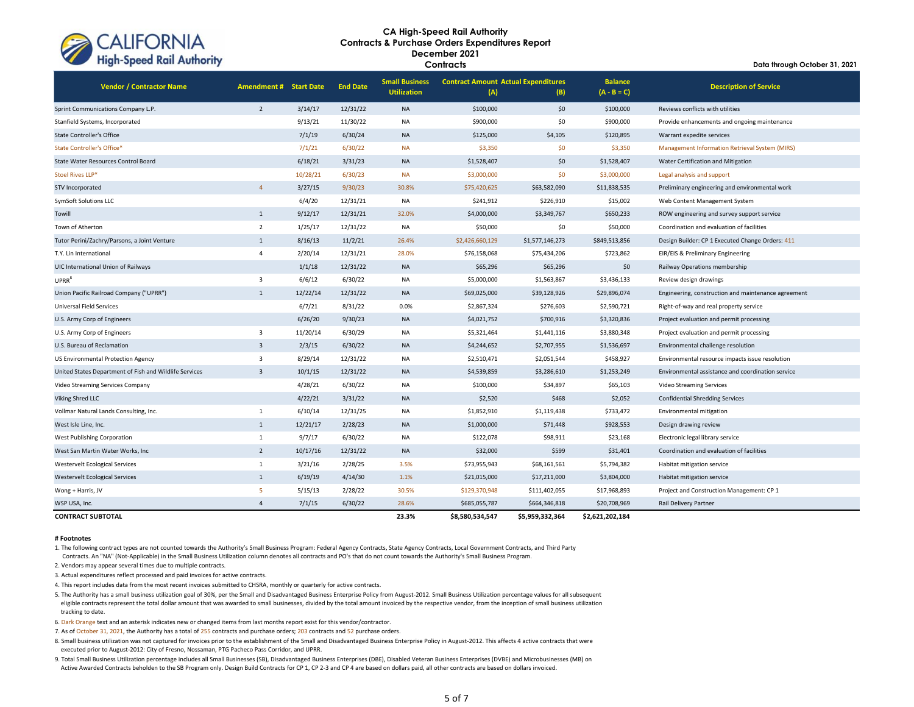

**Data through October 31, 2021**

| <b>Vendor / Contractor Name</b>                        | <b>Amendment # Start Date</b> |          | <b>End Date</b> | <b>Small Business</b><br><b>Utilization</b> | <b>Contract Amount Actual Expenditures</b><br>(A) | (B)             | <b>Balance</b><br>$(A - B = C)$ | <b>Description of Service</b>                       |
|--------------------------------------------------------|-------------------------------|----------|-----------------|---------------------------------------------|---------------------------------------------------|-----------------|---------------------------------|-----------------------------------------------------|
| Sprint Communications Company L.P.                     | $\overline{2}$                | 3/14/17  | 12/31/22        | <b>NA</b>                                   | \$100,000                                         | \$0             | \$100,000                       | Reviews conflicts with utilities                    |
| Stanfield Systems, Incorporated                        |                               | 9/13/21  | 11/30/22        | <b>NA</b>                                   | \$900,000                                         | \$0             | \$900,000                       | Provide enhancements and ongoing maintenance        |
| <b>State Controller's Office</b>                       |                               | 7/1/19   | 6/30/24         | <b>NA</b>                                   | \$125,000                                         | \$4,105         | \$120,895                       | Warrant expedite services                           |
| State Controller's Office*                             |                               | 7/1/21   | 6/30/22         | <b>NA</b>                                   | \$3,350                                           | \$0             | \$3,350                         | Management Information Retrieval System (MIRS)      |
| State Water Resources Control Board                    |                               | 6/18/21  | 3/31/23         | <b>NA</b>                                   | \$1,528,407                                       | \$0             | \$1,528,407                     | Water Certification and Mitigation                  |
| Stoel Rives LLP*                                       |                               | 10/28/21 | 6/30/23         | <b>NA</b>                                   | \$3,000,000                                       | \$0             | \$3,000,000                     | Legal analysis and support                          |
| STV Incorporated                                       | $\overline{4}$                | 3/27/15  | 9/30/23         | 30.8%                                       | \$75,420,625                                      | \$63,582,090    | \$11,838,535                    | Preliminary engineering and environmental work      |
| SymSoft Solutions LLC                                  |                               | 6/4/20   | 12/31/21        | NA                                          | \$241,912                                         | \$226,910       | \$15,002                        | Web Content Management System                       |
| Towill                                                 | $\mathbf{1}$                  | 9/12/17  | 12/31/21        | 32.0%                                       | \$4,000,000                                       | \$3,349,767     | \$650,233                       | ROW engineering and survey support service          |
| Town of Atherton                                       | $\overline{2}$                | 1/25/17  | 12/31/22        | <b>NA</b>                                   | \$50,000                                          | \$0             | \$50,000                        | Coordination and evaluation of facilities           |
| Tutor Perini/Zachry/Parsons, a Joint Venture           | 1                             | 8/16/13  | 11/2/21         | 26.4%                                       | \$2,426,660,129                                   | \$1,577,146,273 | \$849,513,856                   | Design Builder: CP 1 Executed Change Orders: 411    |
| T.Y. Lin International                                 | $\overline{4}$                | 2/20/14  | 12/31/21        | 28.0%                                       | \$76,158,068                                      | \$75,434,206    | \$723,862                       | EIR/EIS & Preliminary Engineering                   |
| UIC International Union of Railways                    |                               | 1/1/18   | 12/31/22        | <b>NA</b>                                   | \$65,296                                          | \$65,296        | \$0                             | Railway Operations membership                       |
| UPRR <sup>8</sup>                                      | 3                             | 6/6/12   | 6/30/22         | <b>NA</b>                                   | \$5,000,000                                       | \$1,563,867     | \$3,436,133                     | Review design drawings                              |
| Union Pacific Railroad Company ("UPRR")                | 1                             | 12/22/14 | 12/31/22        | <b>NA</b>                                   | \$69,025,000                                      | \$39,128,926    | \$29,896,074                    | Engineering, construction and maintenance agreement |
| Universal Field Services                               |                               | 6/7/21   | 8/31/22         | 0.0%                                        | \$2,867,324                                       | \$276,603       | \$2,590,721                     | Right-of-way and real property service              |
| U.S. Army Corp of Engineers                            |                               | 6/26/20  | 9/30/23         | <b>NA</b>                                   | \$4,021,752                                       | \$700,916       | \$3,320,836                     | Project evaluation and permit processing            |
| U.S. Army Corp of Engineers                            | 3                             | 11/20/14 | 6/30/29         | <b>NA</b>                                   | \$5,321,464                                       | \$1,441,116     | \$3,880,348                     | Project evaluation and permit processing            |
| U.S. Bureau of Reclamation                             | $\overline{\mathbf{3}}$       | 2/3/15   | 6/30/22         | <b>NA</b>                                   | \$4,244,652                                       | \$2,707,955     | \$1,536,697                     | Environmental challenge resolution                  |
| US Environmental Protection Agency                     | 3                             | 8/29/14  | 12/31/22        | <b>NA</b>                                   | \$2,510,471                                       | \$2,051,544     | \$458,927                       | Environmental resource impacts issue resolution     |
| United States Department of Fish and Wildlife Services | $\overline{3}$                | 10/1/15  | 12/31/22        | <b>NA</b>                                   | \$4,539,859                                       | \$3,286,610     | \$1,253,249                     | Environmental assistance and coordination service   |
| Video Streaming Services Company                       |                               | 4/28/21  | 6/30/22         | <b>NA</b>                                   | \$100,000                                         | \$34,897        | \$65,103                        | Video Streaming Services                            |
| Viking Shred LLC                                       |                               | 4/22/21  | 3/31/22         | <b>NA</b>                                   | \$2,520                                           | \$468           | \$2,052                         | <b>Confidential Shredding Services</b>              |
| Vollmar Natural Lands Consulting, Inc.                 | $\mathbf{1}$                  | 6/10/14  | 12/31/25        | <b>NA</b>                                   | \$1,852,910                                       | \$1,119,438     | \$733,472                       | Environmental mitigation                            |
| West Isle Line, Inc.                                   | $\mathbf{1}$                  | 12/21/17 | 2/28/23         | <b>NA</b>                                   | \$1,000,000                                       | \$71,448        | \$928,553                       | Design drawing review                               |
| West Publishing Corporation                            | $\mathbf{1}$                  | 9/7/17   | 6/30/22         | <b>NA</b>                                   | \$122,078                                         | \$98,911        | \$23,168                        | Electronic legal library service                    |
| West San Martin Water Works, Inc.                      | $\overline{2}$                | 10/17/16 | 12/31/22        | <b>NA</b>                                   | \$32,000                                          | \$599           | \$31,401                        | Coordination and evaluation of facilities           |
| Westervelt Ecological Services                         | $\mathbf{1}$                  | 3/21/16  | 2/28/25         | 3.5%                                        | \$73,955,943                                      | \$68,161,561    | \$5,794,382                     | Habitat mitigation service                          |
| <b>Westervelt Ecological Services</b>                  | $\mathbf{1}$                  | 6/19/19  | 4/14/30         | 1.1%                                        | \$21,015,000                                      | \$17,211,000    | \$3,804,000                     | Habitat mitigation service                          |
| Wong + Harris, JV                                      | 5                             | 5/15/13  | 2/28/22         | 30.5%                                       | \$129,370,948                                     | \$111,402,055   | \$17,968,893                    | Project and Construction Management: CP 1           |
| WSP USA, Inc.                                          | $\overline{4}$                | 7/1/15   | 6/30/22         | 28.6%                                       | \$685,055,787                                     | \$664,346,818   | \$20,708,969                    | Rail Delivery Partner                               |
| <b>CONTRACT SUBTOTAL</b>                               |                               |          |                 | 23.3%                                       | \$8.580.534.547                                   | \$5.959.332.364 | \$2,621,202,184                 |                                                     |

#### **# Footnotes**

1. The following contract types are not counted towards the Authority's Small Business Program: Federal Agency Contracts, State Agency Contracts, Local Government Contracts, and Third Party

Contracts. An "NA" (Not-Applicable) in the Small Business Utilization column denotes all contracts and PO's that do not count towards the Authority's Small Business Program.

2. Vendors may appear several times due to multiple contracts.

3. Actual expenditures reflect processed and paid invoices for active contracts.

4. This report includes data from the most recent invoices submitted to CHSRA, monthly or quarterly for active contracts.

5. The Authority has a small business utilization goal of 30%, per the Small and Disadvantaged Business Enterprise Policy from August-2012. Small Business Utilization percentage values for all subsequent eligible contracts represent the total dollar amount that was awarded to small businesses, divided by the total amount invoiced by the respective vendor, from the inception of small business utilization tracking to date.

6. Dark Orange text and an asterisk indicates new or changed items from last months report exist for this vendor/contractor.

7. As of October 31, 2021, the Authority has a total of 255 contracts and purchase orders; 203 contracts and 52 purchase orders.

8. Small business utilization was not captured for invoices prior to the establishment of the Small and Disadvantaged Business Enterprise Policy in August-2012. This affects 4 active contracts that were executed prior to August-2012: City of Fresno, Nossaman, PTG Pacheco Pass Corridor, and UPRR.

9. Total Small Business Utilization percentage includes all Small Businesses (SB), Disadvantaged Business Enterprises (DBE), Disabled Veteran Business Enterprises (DVBE) and Microbusinesses (MB) on Active Awarded Contracts beholden to the SB Program only. Design Build Contracts for CP 1, CP 2-3 and CP 4 are based on dollars paid, all other contracts are based on dollars invoiced.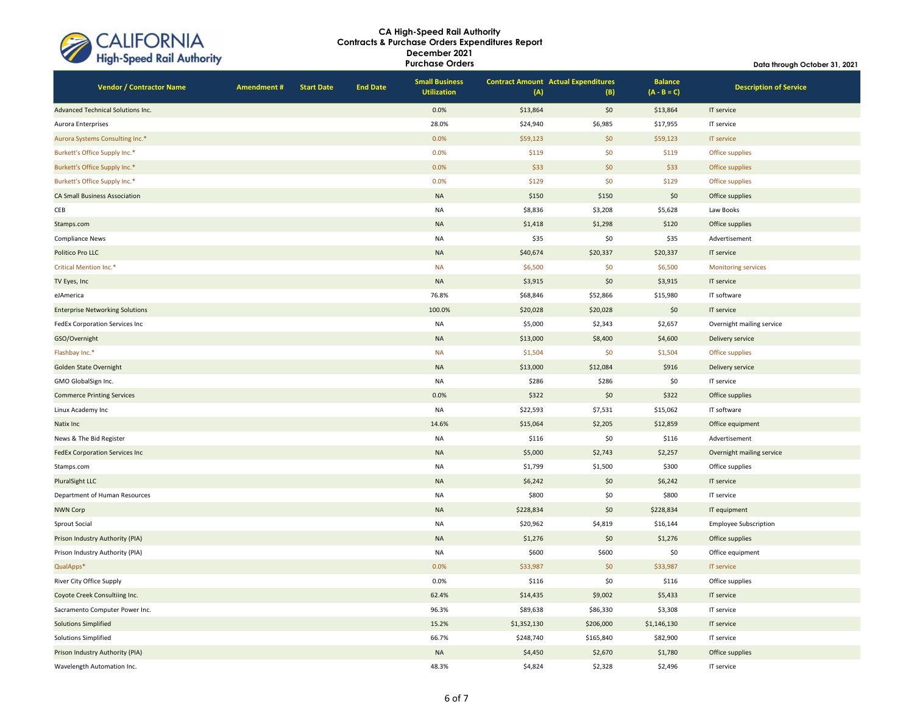| CALIFORNIA<br>High-Speed Rail Authority |
|-----------------------------------------|
|                                         |

**Data through October 31, 2021**

**Vendor / Contractor Name Amendment # Start Date End Date Small Business Utilization Contract Amount Actual Expenditures (A) (B) Balance (A - B = C) Description of Service** Advanced Technical Solutions Inc. **Details and Contact Advanced Technical Solutions Inc.** 0.0% \$13,864 \$13,864 IT service Aurora Enterprises 28.0% \$24,940 \$6,985 \$17,955 IT service Aurora Systems Consulting Inc.\* **Consulting Inc.\* Consulting Inc.\* Consulting Inc.\* Consulting Inc.\* Consulting Inc.\* Consulting Inc.\* Consulting Inc.\* IT service** Burkett's Office Supply Inc.\* 0.0% \$119 \$0 \$119 Office supplies Burkett's Office Supply Inc.\* **Canadiate Supplies** Office supplies and the Canadiate Supplies of the Supplies of the Supplies of the Supplies of the Supplies of the Supplies of the Supplies of the Supplies of the Supplies Burkett's Office Supply Inc.\* 0.0% \$129 \$0 \$129 Office supplies CA Small Business Association (Signal Cases) and the control of the control of the control of the control of the control of the control of the control of the control of the control of the control of the control of the cont CEB NA \$8,836 \$3,208 \$5,628 Law Books Stamps.com NA \$1,418 \$1,298 \$120 Office supplies Compliance News NA \$35 \$0 \$35 Advertisement Politico Pro LLC NA \$40,674 \$20,337 \$20,337 IT service Critical Mention Inc.\* NA \$6,500 \$0 \$6,500 Monitoring services TV Eyes, Inc NA \$3,915 IT service in the service in the service in the service in the service in the service i eJAmerica 76.8% \$68,846 \$52,866 \$15,980 IT software Enterprise Networking Solutions 100.0% \$20,028 \$20,028 \$20,028 \$100.0% \$100.0% \$20,028 \$100.0% \$20,028 \$0 IT service FedEx Corporation Services Inc NA S5,000 \$2,343 \$2,657 Overnight mailing service GSO/Overnight NA \$13,000 \$8,400 \$4,600 Delivery service Flashbay Inc.\* NA \$1,504 \$0 \$1,504 Office supplies Golden State Overnight NA \$13,000 \$12,084 \$916 Delivery service GMO GlobalSign Inc. NA \$286 \$286 \$0 IT service Commerce Printing Services **1.1 Commerce Printing Services** 0.0% \$322 \$0 \$322 \$0 \$322 Office supplies Linux Academy Inc NA \$22,593 \$7,531 \$15,062 IT software Natix Inc 14.6%  $\text{515,064}$   $\text{52,205}$   $\text{535,054}$   $\text{547,859}$  Office equipment News & The Bid Register NA \$116 \$0 \$116 Advertisement FedEx Corporation Services Inc NA \$5,000 \$2,743 \$2,257 Overnight mailing service Stamps.com NA \$1,799 \$1,500 \$300 Office supplies PluralSight LLC NA \$6,242 \$0 \$6,242 IT service Department of Human Resources and the service of the service of the service of the service of the service of the service of the service of the service of the service of the service of the service of the service of the serv NWN Corp NA \$228,834 \$0 \$228,834 IT equipment Sprout Social Social Subscription (Subscription Sprout Section Section Section Section Section Section Section Sprout Science Subscription Sprout Social Section Section Section Sprout Section Section Section Section Sprout Prison Industry Authority (PIA) **Contract Contract Contract Contract Contract Contract Contract Contract Contract Contract Contract Contract Contract Contract Contract Contract Contract Contract Contract Contract Contract** Prison Industry Authority (PIA) **NA SECONDENT SECONDENT SECONDENT SECONDENT SECONDENT SOUTH SECONDENT SOUTHOUR SOUTHOUR SOUTHOUR SOUTHOUR SOUTHOUR SOUTHOUR SOUTHOUR SOUTHOUR SOUTHOUR SOUTHOUR SOUTHOUR SOUTHOUR SOUTHOUR SOU** QualApps\* 0.0% \$33,987 \$0 \$33,987 IT service River City Office Supply 0.0% \$116 \$0 \$116 Office supplies coyote Creek Consultiing Inc. 62.4% \$14,435 \$9,002 \$5,433 IT service Sacramento Computer Power Inc. 96.3% \$89,638 \$86,330 \$3,308 IT service Solutions Simplified 15.2% \$1,352,130 \$206,000 \$1,146,130 IT service Solutions Simplified 66.7% \$248,740 \$165,840 \$82,900 IT service Prison Industry Authority (PIA) China China China China China China China China China China China China China China China China China China China China China China China China China China China China China China China Chin Wavelength Automation Inc. 48.3% \$4,824 \$2,328 \$2,496 IT service